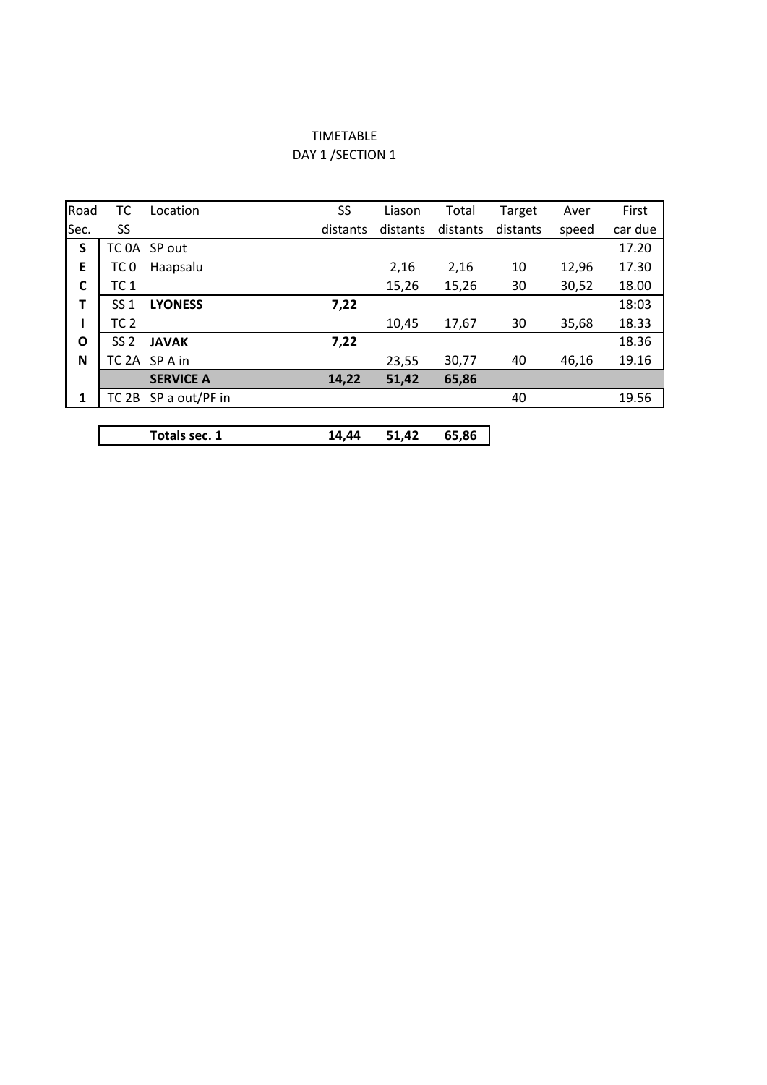## TIMETABLE DAY 1 / SECTION 1

| Road | ТC              | Location             | SS       | Liason   | Total    | Target   | Aver  | First   |
|------|-----------------|----------------------|----------|----------|----------|----------|-------|---------|
| Sec. | SS              |                      | distants | distants | distants | distants | speed | car due |
| S    |                 | TC 0A SP out         |          |          |          |          |       | 17.20   |
| E    | TC <sub>0</sub> | Haapsalu             |          | 2,16     | 2,16     | 10       | 12,96 | 17.30   |
| C    | TC <sub>1</sub> |                      |          | 15,26    | 15,26    | 30       | 30,52 | 18.00   |
| т    | SS 1            | <b>LYONESS</b>       | 7,22     |          |          |          |       | 18:03   |
|      | TC <sub>2</sub> |                      |          | 10,45    | 17,67    | 30       | 35,68 | 18.33   |
| O    | SS <sub>2</sub> | <b>JAVAK</b>         | 7,22     |          |          |          |       | 18.36   |
| N    |                 | TC 2A SP A in        |          | 23,55    | 30,77    | 40       | 46,16 | 19.16   |
|      |                 | <b>SERVICE A</b>     | 14,22    | 51,42    | 65,86    |          |       |         |
| 1    |                 | TC 2B SP a out/PF in |          |          |          | 40       |       | 19.56   |
|      |                 |                      |          |          |          |          |       |         |

**Totals sec. 1 14,44 51,42 65,86**